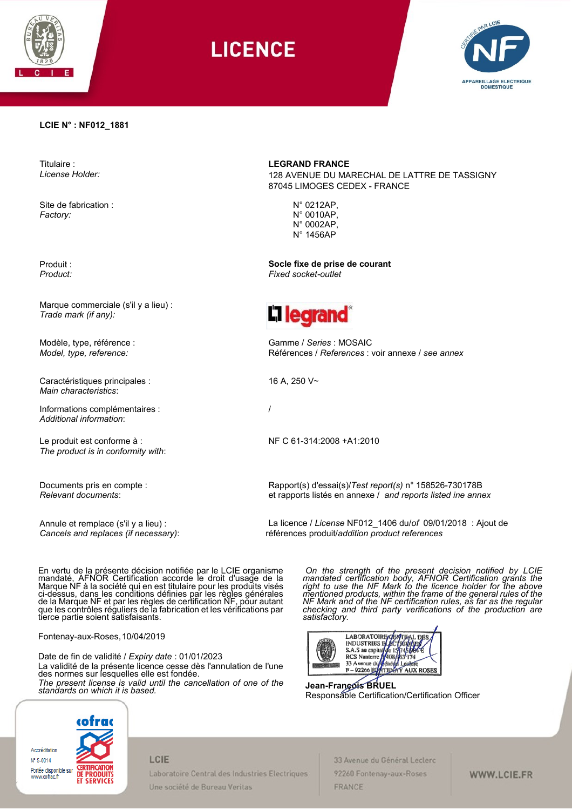

**LICENCE** 



#### **LCIE N° : NF012\_1881**

Titulaire : *License Holder:*

Site de fabrication : *Factory:*

Produit : *Product:*

Marque commerciale (s'il y a lieu) : *Trade mark (if any):*

Modèle, type, référence : *Model, type, reference:*

Caractéristiques principales : *Main characteristics*:

Informations complémentaires : *Additional information*:

Le produit est conforme à : *The product is in conformity with*:

Documents pris en compte : *Relevant documents*:

Annule et remplace (s'il y a lieu) : *Cancels and replaces (if necessary)*: **LEGRAND FRANCE**

128 AVENUE DU MARECHAL DE LATTRE DE TASSIGNY 87045 LIMOGES CEDEX - FRANCE

> N° 0212AP, N° 0010AP, N° 0002AP, N° 1456AP

**Socle fixe de prise de courant** *Fixed socket-outlet*



Gamme / *Series* : MOSAIC Références / *References* : voir annexe / *see annex*

16 A, 250 V~

/

NF C 61-314:2008 +A1:2010

Rapport(s) d'essai(s)/*Test report(s)* n° 158526-730178B et rapports listés en annexe / *and reports listed ine annex*

La licence / *License* NF012\_1406 du/*of* 09/01/2018 : Ajout de références produit/*addition product references*

En vertu de la présente décision notifiée par le LCIE organisme mandaté, AFNOR Certification accorde le droit d'usage de la Marque NF à la société qui en est titulaire pour les produits visés ci-dessus, dans les conditions définies par les règles générales de la Marque NF et par les règles de certification NF, pour autant que les contrôles réguliers de la fabrication et les vérifications par tierce partie soient satisfaisants.

Fontenay-aux-Roses,10/04/2019

Date de fin de validité / *Expiry date* : 01/01/2023 La validité de la présente licence cesse dès l'annulation de l'une des normes sur lesquelles elle est fondée. *The present license is valid until the cancellation of one of the standards on which it is based.*

*On the strength of the present decision notified by LCIE mandated certification body, AFNOR Certification grants the right to use the NF Mark to the licence holder for the above mentioned products, within the frame of the general rules of the NF Mark and of the NF certification rules, as far as the regular checking and third party verifications of the production are satisfactory.* 



**Jean-François BRUEL**  Responsable Certification/Certification Officer



#### LCIE

Laboratoire Central des Industries Electriques Une société de Bureau Veritas

33 Avenue du Général Leclerc 92260 Fontenay-aux-Roses FRANCE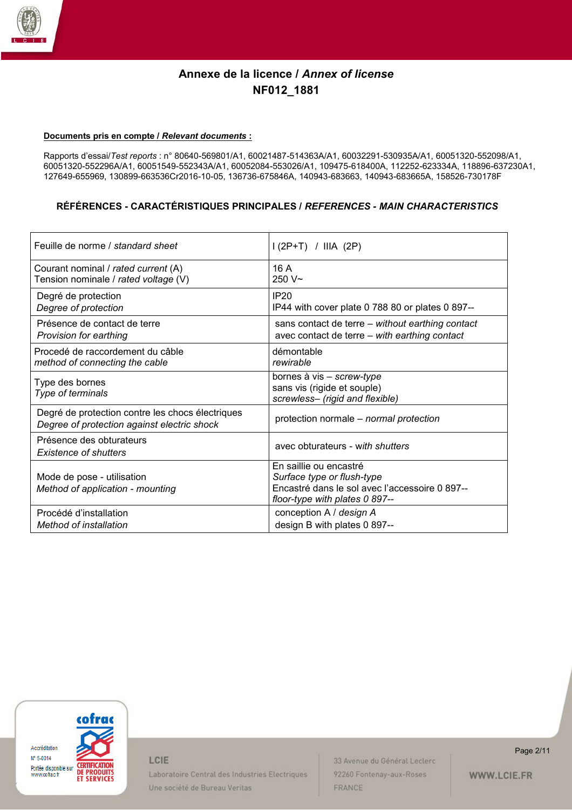

#### **Documents pris en compte /** *Relevant documents* **:**

Rapports d'essai/*Test reports* : n° 80640-569801/A1, 60021487-514363A/A1, 60032291-530935A/A1, 60051320-552098/A1, 60051320-552296A/A1, 60051549-552343A/A1, 60052084-553026/A1, 109475-618400A, 112252-623334A, 118896-637230A1, 127649-655969, 130899-663536Cr2016-10-05, 136736-675846A, 140943-683663, 140943-683665A, 158526-730178F

### **RÉFÉRENCES - CARACTÉRISTIQUES PRINCIPALES /** *REFERENCES - MAIN CHARACTERISTICS*

| Feuille de norme / standard sheet                                                               | $1(2P+T)$ / IIIA (2P)                                                                                                                    |
|-------------------------------------------------------------------------------------------------|------------------------------------------------------------------------------------------------------------------------------------------|
| Courant nominal / rated current (A)                                                             | 16A                                                                                                                                      |
| Tension nominale / rated voltage (V)                                                            | $250V -$                                                                                                                                 |
| Degré de protection                                                                             | IP20                                                                                                                                     |
| Degree of protection                                                                            | IP44 with cover plate 0 788 80 or plates 0 897--                                                                                         |
| Présence de contact de terre                                                                    | sans contact de terre - without earthing contact                                                                                         |
| Provision for earthing                                                                          | avec contact de terre - with earthing contact                                                                                            |
| Procedé de raccordement du câble                                                                | démontable                                                                                                                               |
| method of connecting the cable                                                                  | rewirable                                                                                                                                |
| Type des bornes<br>Type of terminals                                                            | bornes à vis - screw-type<br>sans vis (rigide et souple)<br>screwless- (rigid and flexible)                                              |
| Degré de protection contre les chocs électriques<br>Degree of protection against electric shock | protection normale – normal protection                                                                                                   |
| Présence des obturateurs<br><b>Existence of shutters</b>                                        | avec obturateurs - with shutters                                                                                                         |
| Mode de pose - utilisation<br>Method of application - mounting                                  | En saillie ou encastré<br>Surface type or flush-type<br>Encastré dans le sol avec l'accessoire 0 897--<br>floor-type with plates 0 897-- |
| Procédé d'installation                                                                          | conception A / design A                                                                                                                  |
| Method of installation                                                                          | design B with plates 0 897--                                                                                                             |



LCIE

Laboratoire Central des Industries Electriques Une société de Bureau Veritas

33 Avenue du Général Leclerc 92260 Fontenay-aux-Roses FRANCE

Page 2/11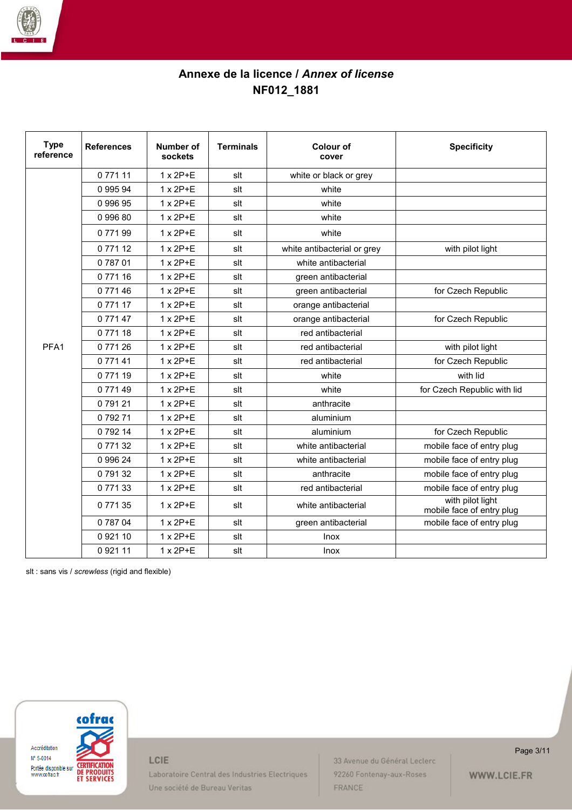

| <b>Type</b><br>reference | <b>References</b> | <b>Number of</b><br>sockets | <b>Terminals</b> | <b>Colour of</b><br>cover   | <b>Specificity</b>                            |
|--------------------------|-------------------|-----------------------------|------------------|-----------------------------|-----------------------------------------------|
|                          | 077111            | $1 \times 2P + E$           | slt              | white or black or grey      |                                               |
|                          | 0 995 94          | $1 \times 2P + E$           | slt              | white                       |                                               |
|                          | 0 996 95          | $1 \times 2P + E$           | slt              | white                       |                                               |
|                          | 099680            | $1 \times 2P + E$           | slt              | white                       |                                               |
|                          | 077199            | $1 \times 2P+E$             | slt              | white                       |                                               |
|                          | 077112            | $1 \times 2P+E$             | slt              | white antibacterial or grey | with pilot light                              |
|                          | 078701            | $1 \times 2P+E$             | slt              | white antibacterial         |                                               |
|                          | 077116            | $1 \times 2P+E$             | slt              | green antibacterial         |                                               |
|                          | 077146            | $1 \times 2P+E$             | slt              | green antibacterial         | for Czech Republic                            |
|                          | 077117            | $1 \times 2P+E$             | slt              | orange antibacterial        |                                               |
|                          | 077147            | $1 \times 2P + E$           | slt              | orange antibacterial        | for Czech Republic                            |
|                          | 077118            | $1 \times 2P+E$             | slt              | red antibacterial           |                                               |
| PFA1                     | 077126            | $1 \times 2P + E$           | slt              | red antibacterial           | with pilot light                              |
|                          | 0 771 41          | $1 \times 2P+E$             | slt              | red antibacterial           | for Czech Republic                            |
|                          | 077119            | $1 \times 2P+E$             | slt              | white                       | with lid                                      |
|                          | 077149            | $1 \times 2P + E$           | slt              | white                       | for Czech Republic with lid                   |
|                          | 079121            | 1 x 2P+E                    | slt              | anthracite                  |                                               |
|                          | 079271            | $1 \times 2P+E$             | slt              | aluminium                   |                                               |
|                          | 079214            | $1 \times 2P+E$             | slt              | aluminium                   | for Czech Republic                            |
|                          | 077132            | $1 \times 2P + E$           | slt              | white antibacterial         | mobile face of entry plug                     |
|                          | 0 996 24          | $1 \times 2P+E$             | slt              | white antibacterial         | mobile face of entry plug                     |
|                          | 079132            | $1 \times 2P+E$             | slt              | anthracite                  | mobile face of entry plug                     |
|                          | 077133            | $1 \times 2P+E$             | slt              | red antibacterial           | mobile face of entry plug                     |
|                          | 077135            | $1 \times 2P+E$             | slt              | white antibacterial         | with pilot light<br>mobile face of entry plug |
|                          | 078704            | $1 \times 2P+E$             | slt              | green antibacterial         | mobile face of entry plug                     |
|                          | 092110            | $1 \times 2P+E$             | slt              | Inox                        |                                               |
|                          | 092111            | $1 \times 2P+E$             | slt              | <b>Inox</b>                 |                                               |

slt : sans vis / *screwless* (rigid and flexible)



LCIE

Laboratoire Central des Industries Electriques Une société de Bureau Veritas

33 Avenue du Général Leclerc 92260 Fontenay-aux-Roses FRANCE

Page 3/11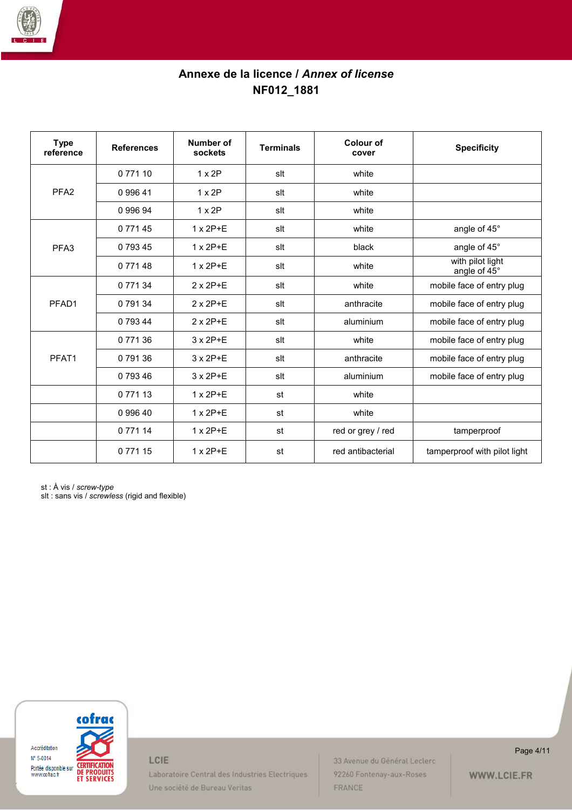

| <b>Type</b><br>reference | <b>References</b> | Number of<br>sockets | <b>Terminals</b> | Colour of<br>cover | <b>Specificity</b>               |
|--------------------------|-------------------|----------------------|------------------|--------------------|----------------------------------|
|                          | 0 7 7 1 1 0       | $1 \times 2P$        | slt              | white              |                                  |
| PFA <sub>2</sub>         | 099641            | $1 \times 2P$        | slt              | white              |                                  |
|                          | 0 996 94          | $1 \times 2P$        | slt              | white              |                                  |
|                          | 0 7 7 1 4 5       | $1 \times 2P + E$    | slt              | white              | angle of 45°                     |
| PFA <sub>3</sub>         | 079345            | $1 \times 2P+E$      | slt              | black              | angle of 45°                     |
|                          | 0 771 48          | $1 \times 2P + E$    | slt              | white              | with pilot light<br>angle of 45° |
|                          | 0 771 34          | $2 \times 2P+E$      | slt              | white              | mobile face of entry plug        |
| PFAD1                    | 0 791 34          | $2 \times 2P + E$    | slt              | anthracite         | mobile face of entry plug        |
|                          | 0 793 44          | $2 \times 2P+E$      | slt              | aluminium          | mobile face of entry plug        |
|                          | 0 771 36          | $3 \times 2P + E$    | slt              | white              | mobile face of entry plug        |
| PFAT1                    | 0 791 36          | $3 \times 2P + E$    | slt              | anthracite         | mobile face of entry plug        |
|                          | 0 793 46          | $3 \times 2P + E$    | slt              | aluminium          | mobile face of entry plug        |
|                          | 0 7 7 1 1 3       | $1 \times 2P + E$    | st               | white              |                                  |
|                          | 099640            | $1 \times 2P + E$    | st               | white              |                                  |
|                          | 0 7 7 1 1 4       | $1 \times 2P + E$    | st               | red or grey / red  | tamperproof                      |
|                          | 077115            | $1 \times 2P+E$      | st               | red antibacterial  | tamperproof with pilot light     |

st : À vis / *screw-type*

slt : sans vis / *screwless* (rigid and flexible)



LCIE

Laboratoire Central des Industries Electriques Une société de Bureau Veritas

33 Avenue du Général Leclerc 92260 Fontenay-aux-Roses FRANCE

Page 4/11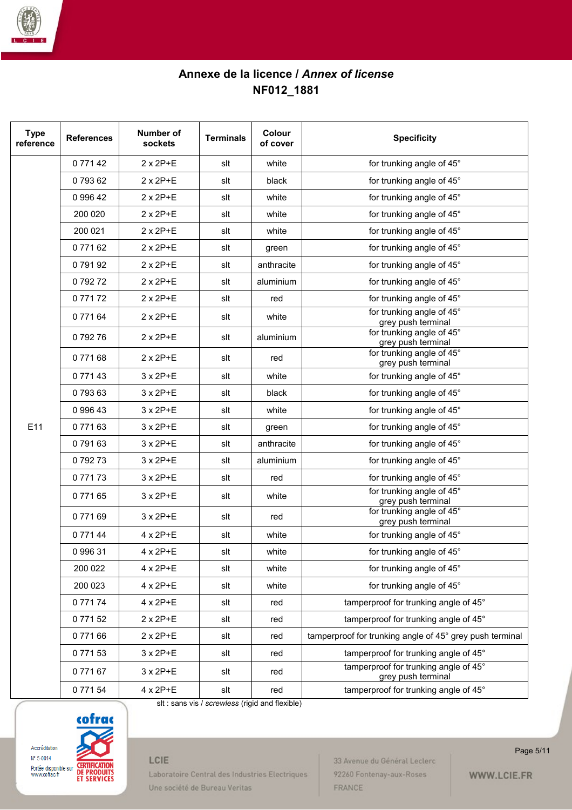

| <b>Type</b><br>reference | <b>References</b> | Number of<br>sockets | <b>Terminals</b> | <b>Colour</b><br>of cover | <b>Specificity</b>                                          |
|--------------------------|-------------------|----------------------|------------------|---------------------------|-------------------------------------------------------------|
|                          | 077142            | $2 \times 2P + E$    | slt              | white                     | for trunking angle of 45°                                   |
|                          | 079362            | $2 \times 2P+E$      | slt              | black                     | for trunking angle of 45°                                   |
|                          | 0 996 42          | $2 \times 2P + E$    | slt              | white                     | for trunking angle of 45°                                   |
|                          | 200 020           | $2 \times 2P + E$    | slt              | white                     | for trunking angle of 45°                                   |
|                          | 200 021           | $2 \times 2P+E$      | slt              | white                     | for trunking angle of 45°                                   |
|                          | 077162            | $2 \times 2P+E$      | slt              | green                     | for trunking angle of 45°                                   |
|                          | 079192            | 2 x 2P+E             | slt              | anthracite                | for trunking angle of 45°                                   |
|                          | 079272            | $2 \times 2P+E$      | slt              | aluminium                 | for trunking angle of 45°                                   |
|                          | 077172            | $2 \times 2P+E$      | slt              | red                       | for trunking angle of 45°                                   |
|                          | 077164            | $2 \times 2P+E$      | slt              | white                     | for trunking angle of 45°<br>grey push terminal             |
|                          | 079276            | $2 \times 2P + E$    | slt              | aluminium                 | for trunking angle of 45°<br>grey push terminal             |
|                          | 077168            | $2 \times 2P+E$      | slt              | red                       | for trunking angle of 45°<br>grey push terminal             |
|                          | 077143            | $3 \times 2P+E$      | slt              | white                     | for trunking angle of 45°                                   |
|                          | 079363            | $3 \times 2P + E$    | slt              | black                     | for trunking angle of 45°                                   |
|                          | 0 996 43          | 3 x 2P+E             | slt              | white                     | for trunking angle of 45°                                   |
| E11                      | 077163            | 3 x 2P+E             | slt              | green                     | for trunking angle of 45°                                   |
|                          | 079163            | 3 x 2P+E             | slt              | anthracite                | for trunking angle of 45°                                   |
|                          | 079273            | $3 \times 2P+E$      | slt              | aluminium                 | for trunking angle of 45°                                   |
|                          | 077173            | 3 x 2P+E             | slt              | red                       | for trunking angle of 45°                                   |
|                          | 077165            | $3 \times 2P + E$    | slt              | white                     | for trunking angle of 45°<br>grey push terminal             |
|                          | 077169            | $3 \times 2P+E$      | slt              | red                       | for trunking angle of 45°<br>grey push terminal             |
|                          | 077144            | $4 \times 2P + E$    | slt              | white                     | for trunking angle of 45°                                   |
|                          | 099631            | $4 \times 2P + E$    | slt              | white                     | for trunking angle of 45°                                   |
|                          | 200 022           | $4 \times 2P + E$    | slt              | white                     | for trunking angle of 45°                                   |
|                          | 200 023           | 4 x 2P+E             | slt              | white                     | for trunking angle of 45°                                   |
|                          | 077174            | 4 x 2P+E             | slt              | red                       | tamperproof for trunking angle of 45°                       |
|                          | 077152            | 2 x 2P+E             | slt              | red                       | tamperproof for trunking angle of 45°                       |
|                          | 077166            | $2 \times 2P+E$      | slt              | red                       | tamperproof for trunking angle of 45° grey push terminal    |
|                          | 077153            | 3 x 2P+E             | slt              | red                       | tamperproof for trunking angle of 45°                       |
|                          | 077167            | 3 x 2P+E             | slt              | red                       | tamperproof for trunking angle of 45°<br>grey push terminal |
|                          | 077154            | 4 x 2P+E             | slt              | red                       | tamperproof for trunking angle of 45°                       |

slt : sans vis / *screwless* (rigid and flexible)



# LCIE

Laboratoire Central des Industries Electriques Une société de Bureau Veritas

33 Avenue du Général Leclerc 92260 Fontenay-aux-Roses FRANCE

Page 5/11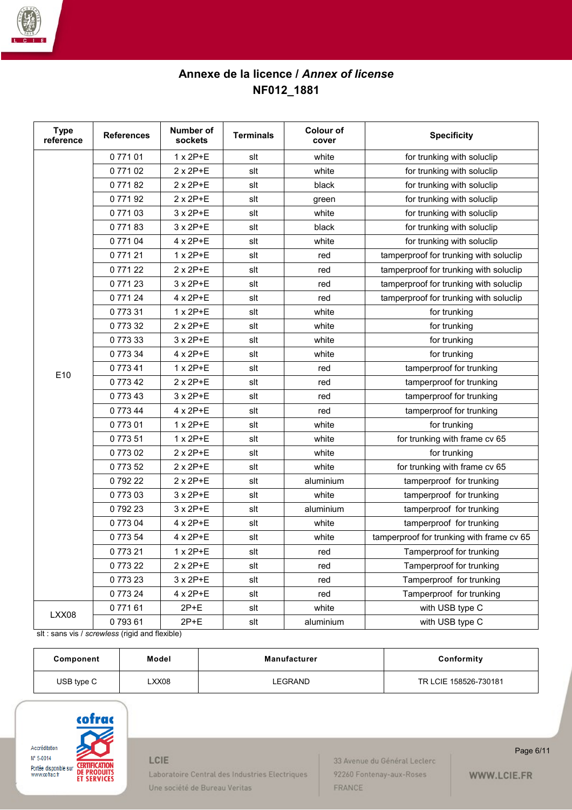

| <b>Type</b><br>reference | <b>References</b> | Number of<br>sockets | <b>Terminals</b> | <b>Colour of</b><br>cover | <b>Specificity</b>                        |
|--------------------------|-------------------|----------------------|------------------|---------------------------|-------------------------------------------|
|                          | 077101            | $1 \times 2P+E$      | slt              | white                     | for trunking with soluclip                |
|                          | 077102            | $2 \times 2P+E$      | slt              | white                     | for trunking with soluclip                |
|                          | 077182            | $2 \times 2P + E$    | slt              | black                     | for trunking with soluclip                |
|                          | 077192            | $2 \times 2P+E$      | slt              | green                     | for trunking with soluclip                |
|                          | 077103            | 3 x 2P+E             | slt              | white                     | for trunking with soluclip                |
|                          | 077183            | 3 x 2P+E             | slt              | black                     | for trunking with soluclip                |
|                          | 077104            | 4 x 2P+E             | slt              | white                     | for trunking with soluclip                |
|                          | 077121            | $1 \times 2P+E$      | slt              | red                       | tamperproof for trunking with soluclip    |
|                          | 077122            | $2 \times 2P+E$      | slt              | red                       | tamperproof for trunking with soluclip    |
|                          | 077123            | $3 \times 2P+E$      | slt              | red                       | tamperproof for trunking with soluclip    |
|                          | 077124            | 4 x 2P+E             | slt              | red                       | tamperproof for trunking with soluclip    |
|                          | 077331            | $1 \times 2P+E$      | slt              | white                     | for trunking                              |
|                          | 077332            | $2 \times 2P+E$      | slt              | white                     | for trunking                              |
|                          | 077333            | 3 x 2P+E             | slt              | white                     | for trunking                              |
|                          | 077334            | 4 x 2P+E             | slt              | white                     | for trunking                              |
| E10                      | 077341            | $1 \times 2P+E$      | slt              | red                       | tamperproof for trunking                  |
|                          | 077342            | $2 \times 2P + E$    | slt              | red                       | tamperproof for trunking                  |
|                          | 077343            | 3 x 2P+E             | slt              | red                       | tamperproof for trunking                  |
|                          | 077344            | 4 x 2P+E             | slt              | red                       | tamperproof for trunking                  |
|                          | 077301            | $1 \times 2P+E$      | slt              | white                     | for trunking                              |
|                          | 077351            | 1 x 2P+E             | slt              | white                     | for trunking with frame cv 65             |
|                          | 077302            | $2 \times 2P+E$      | slt              | white                     | for trunking                              |
|                          | 077352            | $2 \times 2P+E$      | slt              | white                     | for trunking with frame cv 65             |
|                          | 079222            | $2 \times 2P+E$      | slt              | aluminium                 | tamperproof for trunking                  |
|                          | 077303            | 3 x 2P+E             | slt              | white                     | tamperproof for trunking                  |
|                          | 079223            | 3 x 2P+E             | slt              | aluminium                 | tamperproof for trunking                  |
|                          | 077304            | 4 x 2P+E             | slt              | white                     | tamperproof for trunking                  |
|                          | 077354            | 4 x 2P+E             | slt              | white                     | tamperproof for trunking with frame cv 65 |
|                          | 077321            | 1 x 2P+E             | slt              | red                       | Tamperproof for trunking                  |
|                          | 077322            | $2 \times 2P + E$    | slt              | red                       | Tamperproof for trunking                  |
|                          | 077323            | $3 \times 2P+E$      | slt              | red                       | Tamperproof for trunking                  |
|                          | 077324            | $4 \times 2P+E$      | slt              | red                       | Tamperproof for trunking                  |
| LXX08                    | 077161            | $2P+E$               | slt              | white                     | with USB type C                           |
|                          | 079361            | $2P+E$               | slt              | aluminium                 | with USB type C                           |

slt : sans vis / *screwless* (rigid and flexible)

| Component  | Model | <b>Manufacturer</b> | Conformity            |
|------------|-------|---------------------|-----------------------|
| USB type C | XX08  | LEGRAND             | TR LCIE 158526-730181 |



## LCIE

Laboratoire Central des Industries Electriques Une société de Bureau Veritas

33 Avenue du Général Leclerc 92260 Fontenay-aux-Roses FRANCE

Page 6/11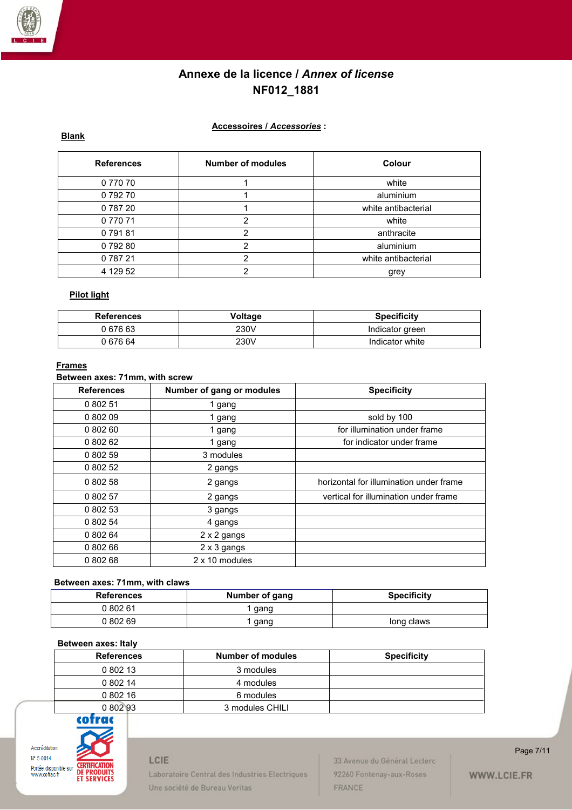

### **Accessoires /** *Accessories* **:**

**Blank**

| <b>References</b> | Number of modules | <b>Colour</b>       |
|-------------------|-------------------|---------------------|
| 0 770 70          |                   | white               |
| 079270            |                   | aluminium           |
| 0 787 20          |                   | white antibacterial |
| 077071            | 2                 | white               |
| 079181            | 2                 | anthracite          |
| 079280            | 2                 | aluminium           |
| 078721            | າ                 | white antibacterial |
| 4 129 52          | ົ                 | grey                |

### **Pilot light**

| <b>References</b> | Voltage | <b>Specificity</b> |
|-------------------|---------|--------------------|
| 067663            | 230V    | Indicator green    |
| 0 676 64          | 230V    | Indicator white    |

#### **Frames**

#### **Between axes: 71mm, with screw**

| <b>References</b> | Number of gang or modules | <b>Specificity</b>                      |
|-------------------|---------------------------|-----------------------------------------|
| 0 802 51          | 1 gang                    |                                         |
| 0 802 09          | 1 gang                    | sold by 100                             |
| 080260            | 1 gang                    | for illumination under frame            |
| 0 802 62          | 1 gang                    | for indicator under frame               |
| 0 802 59          | 3 modules                 |                                         |
| 0 802 52          | 2 gangs                   |                                         |
| 0 802 58          | 2 gangs                   | horizontal for illumination under frame |
| 0 802 57          | 2 gangs                   | vertical for illumination under frame   |
| 0 802 53          | 3 gangs                   |                                         |
| 0 802 54          | 4 gangs                   |                                         |
| 0 802 64          | 2 x 2 gangs               |                                         |
| 0 802 66          | 2 x 3 gangs               |                                         |
| 0 802 68          | 2 x 10 modules            |                                         |

#### **Between axes: 71mm, with claws**

| <b>References</b> | Number of gang | <b>Specificity</b> |
|-------------------|----------------|--------------------|
| 0 802 61          | gang           |                    |
| 0 802 69          | gang           | long claws         |

#### **Between axes: Italy**

| <b>References</b> | <b>Number of modules</b> | <b>Specificity</b> |
|-------------------|--------------------------|--------------------|
| 0 802 13          | 3 modules                |                    |
| 0 802 14          | 4 modules                |                    |
| 0 802 16          | 6 modules                |                    |
| 0 802 93          | 3 modules CHILI          |                    |



## LCIE

Laboratoire Central des Industries Electriques Une société de Bureau Veritas

33 Avenue du Général Leclerc 92260 Fontenay-aux-Roses FRANCE

Page 7/11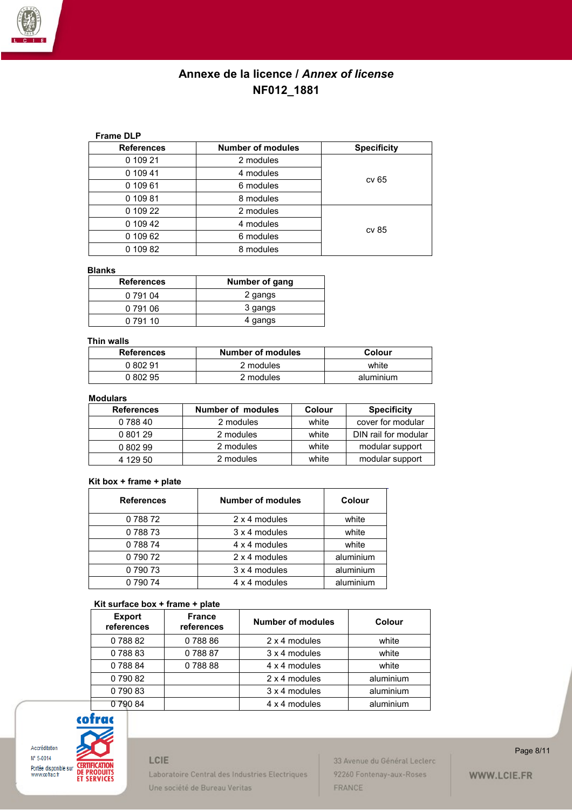

### **Frame DLP**

| <b>References</b> | <b>Number of modules</b> | <b>Specificity</b> |  |
|-------------------|--------------------------|--------------------|--|
| 0 109 21          | 2 modules                |                    |  |
| 0 109 41          | 4 modules                | cv 65              |  |
| 0 109 61          | 6 modules                |                    |  |
| 0 109 81          | 8 modules                |                    |  |
| 0 109 22          | 2 modules                |                    |  |
| 0 109 42          | 4 modules                |                    |  |
| 0 109 62          | 6 modules                | cv 85              |  |
| 0 109 82          | 8 modules                |                    |  |

#### **Blanks**

| <b>References</b> | Number of gang |
|-------------------|----------------|
| 0 791 04          | 2 gangs        |
| 0 791 06          | 3 gangs        |
| 0 791 10          | 4 gangs        |

#### **Thin walls**

| <b>References</b> | Number of modules | Colour    |
|-------------------|-------------------|-----------|
| 0.802.91          | 2 modules         | white     |
|                   | 2 modules         | aluminium |

### **Modulars**

| <b>References</b> | <b>Number of modules</b> | <b>Colour</b> | <b>Specificity</b>   |
|-------------------|--------------------------|---------------|----------------------|
| 0 788 40          | 2 modules                | white         | cover for modular    |
| 0 801 29          | 2 modules                | white         | DIN rail for modular |
| 0 802 99          | 2 modules                | white         | modular support      |
| 4 129 50          | 2 modules                | white         | modular support      |

#### **Kit box + frame + plate**

| <b>References</b> | <b>Number of modules</b> | Colour    |
|-------------------|--------------------------|-----------|
| 078872            | 2 x 4 modules            | white     |
| 078873            | 3 x 4 modules            | white     |
| 078874            | 4 x 4 modules            | white     |
| 079072            | 2 x 4 modules            | aluminium |
| 0 790 73          | 3 x 4 modules            | aluminium |
| 0 790 74          | 4 x 4 modules            | aluminium |

#### **Kit surface box + frame + plate**

| 1.11.9411.499.697.11411.9   | .                           |                          |           |
|-----------------------------|-----------------------------|--------------------------|-----------|
| <b>Export</b><br>references | <b>France</b><br>references | <b>Number of modules</b> | Colour    |
| 078882                      | 078886                      | 2 x 4 modules            | white     |
| 078883                      | 078887                      | 3 x 4 modules            | white     |
| 078884                      | 078888                      | 4 x 4 modules            | white     |
| 0 790 82                    |                             | 2 x 4 modules            | aluminium |
| 079083                      |                             | 3 x 4 modules            | aluminium |
| 079084                      |                             | 4 x 4 modules            | aluminium |



## LCIE

Laboratoire Central des Industries Electriques Une société de Bureau Veritas

33 Avenue du Général Leclerc 92260 Fontenay-aux-Roses FRANCE

#### Page 8/11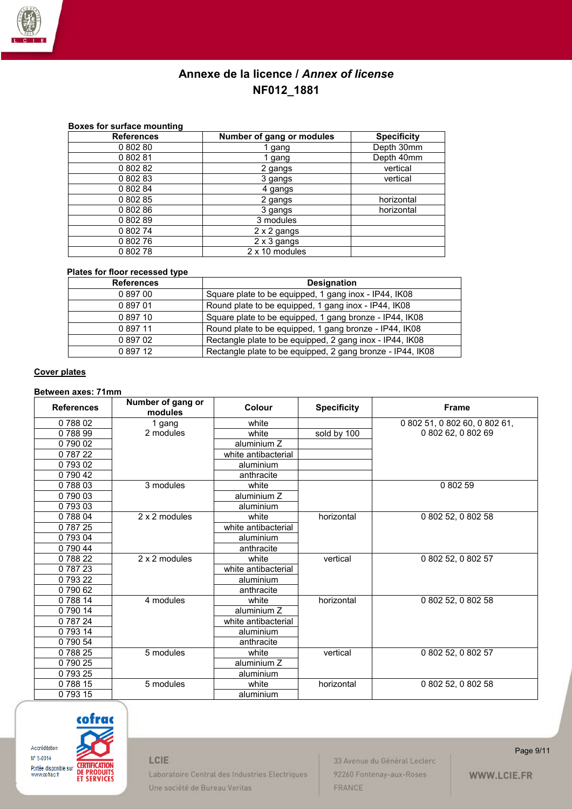

### **Boxes for surface mounting**

| <b>References</b> | Number of gang or modules | <b>Specificity</b> |
|-------------------|---------------------------|--------------------|
| 080280            | 1 gang                    | Depth 30mm         |
| 080281            | 1 gang                    | Depth 40mm         |
| 0 802 82          | 2 gangs                   | vertical           |
| 0 802 83          | 3 gangs                   | vertical           |
| 0 802 84          | 4 gangs                   |                    |
| 0 802 85          | 2 gangs                   | horizontal         |
| 080286            | 3 gangs                   | horizontal         |
| 080289            | 3 modules                 |                    |
| 0 802 74          | 2 x 2 gangs               |                    |
| 0 802 76          | 2 x 3 gangs               |                    |
| 080278            | 2 x 10 modules            |                    |

### **Plates for floor recessed type**

| <b>References</b> | <b>Designation</b>                                         |
|-------------------|------------------------------------------------------------|
| 089700            | Square plate to be equipped, 1 gang inox - IP44, IK08      |
| 089701            | Round plate to be equipped, 1 gang inox - IP44, IK08       |
| 089710            | Square plate to be equipped, 1 gang bronze - IP44, IK08    |
| 089711            | Round plate to be equipped, 1 gang bronze - IP44, IK08     |
| 089702            | Rectangle plate to be equipped, 2 gang inox - IP44, IK08   |
| 089712            | Rectangle plate to be equipped, 2 gang bronze - IP44, IK08 |

#### **Cover plates**

#### **Between axes: 71mm**

| <b>References</b> | Number of gang or<br>modules | Colour              | <b>Specificity</b> | <b>Frame</b>                  |
|-------------------|------------------------------|---------------------|--------------------|-------------------------------|
| 078802            | 1 gang                       | white               |                    | 0 802 51, 0 802 60, 0 802 61, |
| 078899            | 2 modules                    | white               | sold by 100        | 0 802 62, 0 802 69            |
| 079002            |                              | aluminium Z         |                    |                               |
| 0 787 22          |                              | white antibacterial |                    |                               |
| 0 793 02          |                              | aluminium           |                    |                               |
| 0 790 42          |                              | anthracite          |                    |                               |
| 078803            | 3 modules                    | white               |                    | 080259                        |
| 0 790 03          |                              | aluminium Z         |                    |                               |
| 079303            |                              | aluminium           |                    |                               |
| 0 788 04          | 2 x 2 modules                | white               | horizontal         | 0 802 52, 0 802 58            |
| 078725            |                              | white antibacterial |                    |                               |
| 0 793 04          |                              | aluminium           |                    |                               |
| 0 790 44          |                              | anthracite          |                    |                               |
| 078822            | 2 x 2 modules                | white               | vertical           | 0 802 52, 0 802 57            |
| 0 787 23          |                              | white antibacterial |                    |                               |
| 079322            |                              | aluminium           |                    |                               |
| 079062            |                              | anthracite          |                    |                               |
| 078814            | 4 modules                    | white               | horizontal         | 0 802 52, 0 802 58            |
| 0 790 14          |                              | aluminium Z         |                    |                               |
| 0 787 24          |                              | white antibacterial |                    |                               |
| 0 793 14          |                              | aluminium           |                    |                               |
| 0 790 54          |                              | anthracite          |                    |                               |
| 078825            | 5 modules                    | white               | vertical           | 0 802 52, 0 802 57            |
| 079025            |                              | aluminium Z         |                    |                               |
| 079325            |                              | aluminium           |                    |                               |
| 078815            | 5 modules                    | white               | horizontal         | 0 802 52, 0 802 58            |
| 079315            |                              | aluminium           |                    |                               |



## LCIE

Laboratoire Central des Industries Electriques Une société de Bureau Veritas

33 Avenue du Général Leclerc 92260 Fontenay-aux-Roses FRANCE

Page 9/11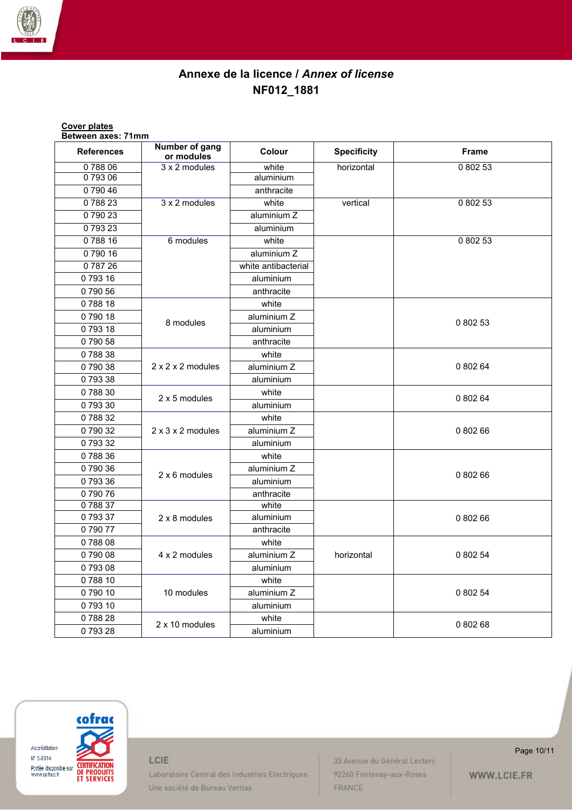

| <b>Cover plates</b><br>Between axes: 71mm |                               |                     |                    |          |
|-------------------------------------------|-------------------------------|---------------------|--------------------|----------|
| <b>References</b>                         | Number of gang<br>or modules  | Colour              | <b>Specificity</b> | Frame    |
| 078806                                    | 3 x 2 modules                 | white               | horizontal         | 0 802 53 |
| 079306                                    |                               | aluminium           |                    |          |
| 079046                                    |                               | anthracite          |                    |          |
| 078823                                    | 3 x 2 modules                 | white               | vertical           | 0 802 53 |
| 079023                                    |                               | aluminium Z         |                    |          |
| 079323                                    |                               | aluminium           |                    |          |
| 078816                                    | 6 modules                     | white               |                    | 0 802 53 |
| 079016                                    |                               | aluminium Z         |                    |          |
| 078726                                    |                               | white antibacterial |                    |          |
| 079316                                    |                               | aluminium           |                    |          |
| 079056                                    |                               | anthracite          |                    |          |
| 078818                                    |                               | white               |                    |          |
| 079018                                    |                               | aluminium Z         |                    |          |
| 079318                                    | 8 modules                     | aluminium           |                    | 0 802 53 |
| 079058                                    |                               | anthracite          |                    |          |
| 078838                                    |                               | white               |                    |          |
| 079038                                    | $2 \times 2 \times 2$ modules | aluminium Z         |                    | 0 802 64 |
| 079338                                    |                               | aluminium           |                    |          |
| 078830                                    | 2 x 5 modules                 | white               |                    | 0 802 64 |
| 079330                                    |                               | aluminium           |                    |          |
| 078832                                    |                               | white               |                    |          |
| 079032                                    | $2 \times 3 \times 2$ modules | aluminium Z         |                    | 0 802 66 |
| 079332                                    |                               | aluminium           |                    |          |
| 078836                                    |                               | white               |                    |          |
| 079036                                    | 2 x 6 modules                 | aluminium Z         |                    | 0 802 66 |
| 079336                                    |                               | aluminium           |                    |          |
| 079076                                    |                               | anthracite          |                    |          |
| 078837                                    |                               | white               |                    |          |
| 079337                                    | 2 x 8 modules                 | aluminium           |                    | 0 802 66 |
| 079077                                    |                               | anthracite          |                    |          |
| 078808                                    |                               | white               |                    |          |
| 0 790 08                                  | 4 x 2 modules                 | aluminium Z         | horizontal         | 0 802 54 |
| 079308                                    |                               | aluminium           |                    |          |
| 078810                                    |                               | white               |                    |          |
| 079010                                    | 10 modules                    | aluminium Z         |                    | 0 802 54 |
| 079310                                    |                               | aluminium           |                    |          |
| 078828                                    | 2 x 10 modules                | white               |                    | 0 802 68 |
| 079328                                    |                               | aluminium           |                    |          |



LCIE

Laboratoire Central des Industries Electriques Une société de Bureau Veritas

33 Avenue du Général Leclerc 92260 Fontenay-aux-Roses FRANCE

Page 10/11